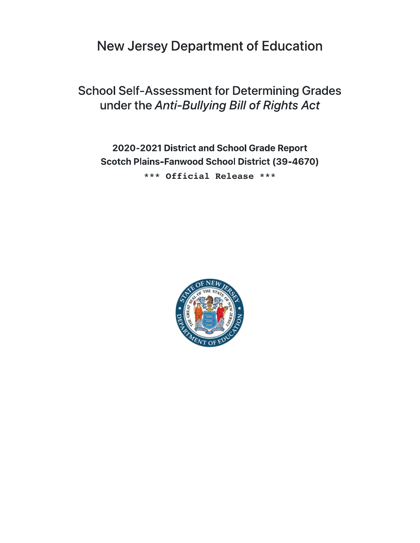New Jersey Department of Education

School Self-Assessment for Determining Grades under the Anti-Bullying Bill of Rights Act

\*\*\* Official Release \*\*\* 2020-2021 District and School Grade Report Scotch Plains-Fanwood School District (39-4670)

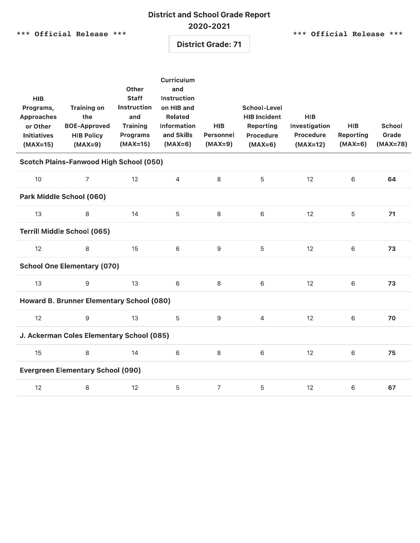## District and School Grade Report 2020-2021

\*\*\* Official Release \*\*\* \*\*\* \*\*\* \*\*\* \*\*\* \*\*\* Official Release \*\*\*

District Grade: 71

| <b>HIB</b><br>Programs,<br><b>Approaches</b><br>or Other<br><b>Initiatives</b><br>$(MAX=15)$ | <b>Training on</b><br>the<br><b>BOE-Approved</b><br><b>HIB Policy</b><br>$(MAX=9)$ | Other<br><b>Staff</b><br><b>Instruction</b><br>and<br><b>Training</b><br><b>Programs</b><br>$(MAX=15)$ | <b>Curriculum</b><br>and<br><b>Instruction</b><br>on HIB and<br><b>Related</b><br><b>Information</b><br>and Skills<br>$(MAX=6)$ | <b>HIB</b><br>Personnel<br>$(MAX=9)$ | <b>School-Level</b><br><b>HIB Incident</b><br><b>Reporting</b><br><b>Procedure</b><br>$(MAX=6)$ | <b>HIB</b><br>Investigation<br><b>Procedure</b><br>$(MAX=12)$ | <b>HIB</b><br><b>Reporting</b><br>$(MAX=6)$ | <b>School</b><br>Grade<br>$(MAX=78)$ |  |  |  |
|----------------------------------------------------------------------------------------------|------------------------------------------------------------------------------------|--------------------------------------------------------------------------------------------------------|---------------------------------------------------------------------------------------------------------------------------------|--------------------------------------|-------------------------------------------------------------------------------------------------|---------------------------------------------------------------|---------------------------------------------|--------------------------------------|--|--|--|
| <b>Scotch Plains-Fanwood High School (050)</b>                                               |                                                                                    |                                                                                                        |                                                                                                                                 |                                      |                                                                                                 |                                                               |                                             |                                      |  |  |  |
| 10                                                                                           | $\overline{7}$                                                                     | 12                                                                                                     | $\overline{4}$                                                                                                                  | 8                                    | 5                                                                                               | 12                                                            | $\,$ 6 $\,$                                 | 64                                   |  |  |  |
| Park Middle School (060)                                                                     |                                                                                    |                                                                                                        |                                                                                                                                 |                                      |                                                                                                 |                                                               |                                             |                                      |  |  |  |
| 13                                                                                           | 8                                                                                  | 14                                                                                                     | 5                                                                                                                               | 8                                    | 6                                                                                               | 12                                                            | $\overline{5}$                              | 71                                   |  |  |  |
| <b>Terrill Middle School (065)</b>                                                           |                                                                                    |                                                                                                        |                                                                                                                                 |                                      |                                                                                                 |                                                               |                                             |                                      |  |  |  |
| 12                                                                                           | 8                                                                                  | 15                                                                                                     | 6                                                                                                                               | 9                                    | 5                                                                                               | 12                                                            | $\,$ 6 $\,$                                 | 73                                   |  |  |  |
| <b>School One Elementary (070)</b>                                                           |                                                                                    |                                                                                                        |                                                                                                                                 |                                      |                                                                                                 |                                                               |                                             |                                      |  |  |  |
| 13                                                                                           | 9                                                                                  | 13                                                                                                     | 6                                                                                                                               | 8                                    | 6                                                                                               | 12                                                            | $\,$ 6 $\,$                                 | 73                                   |  |  |  |
| Howard B. Brunner Elementary School (080)                                                    |                                                                                    |                                                                                                        |                                                                                                                                 |                                      |                                                                                                 |                                                               |                                             |                                      |  |  |  |
| 12                                                                                           | 9                                                                                  | 13                                                                                                     | 5                                                                                                                               | 9                                    | $\overline{4}$                                                                                  | 12                                                            | 6                                           | 70                                   |  |  |  |
| J. Ackerman Coles Elementary School (085)                                                    |                                                                                    |                                                                                                        |                                                                                                                                 |                                      |                                                                                                 |                                                               |                                             |                                      |  |  |  |
| 15                                                                                           | 8                                                                                  | 14                                                                                                     | 6                                                                                                                               | 8                                    | $\,$ 6                                                                                          | 12                                                            | 6                                           | 75                                   |  |  |  |
| <b>Evergreen Elementary School (090)</b>                                                     |                                                                                    |                                                                                                        |                                                                                                                                 |                                      |                                                                                                 |                                                               |                                             |                                      |  |  |  |
| 12                                                                                           | 8                                                                                  | 12                                                                                                     | 5                                                                                                                               | $\overline{7}$                       | 5                                                                                               | 12                                                            | 6                                           | 67                                   |  |  |  |